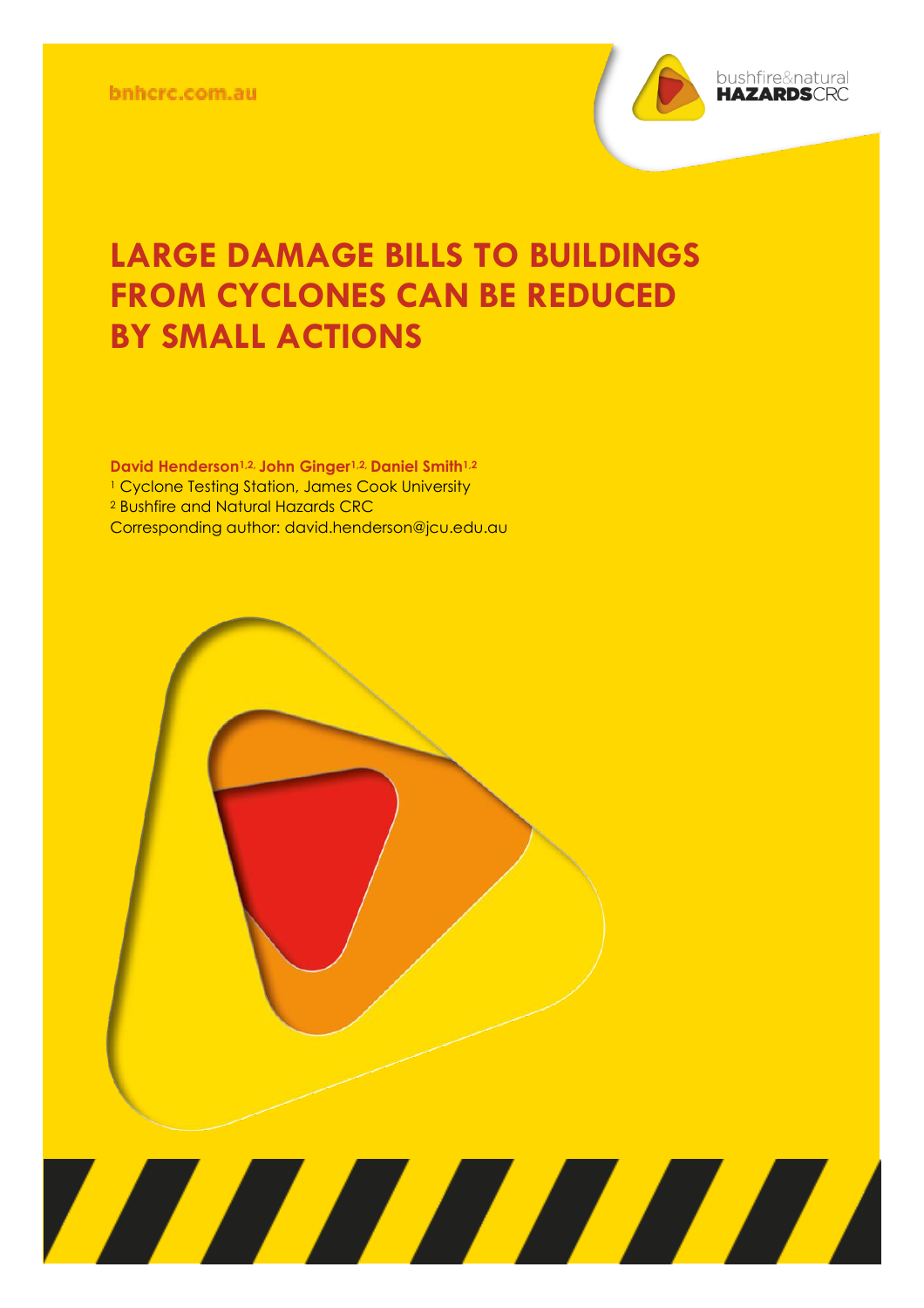

## **LARGE DAMAGE BILLS TO BUILDINGS FROM CYCLONES CAN BE REDUCED BY SMALL ACTIONS**

**David Henderson<sup>1,2,</sup> John Ginger<sup>1,2,</sup> Daniel Smith<sup>1,</sup><br><sup>1</sup> Cyclone Testing Station, James Cook University Non-peer reviewed research proceedings from the Bushfire and Natural**  Corresponding author: david.henderson@jcu.edu.au**Harace Critician** Conference **Conference David Henderson1,2, John Ginger1,2, Daniel Smith1,2** <sup>2</sup> Bushfire and Natural Hazards CRC

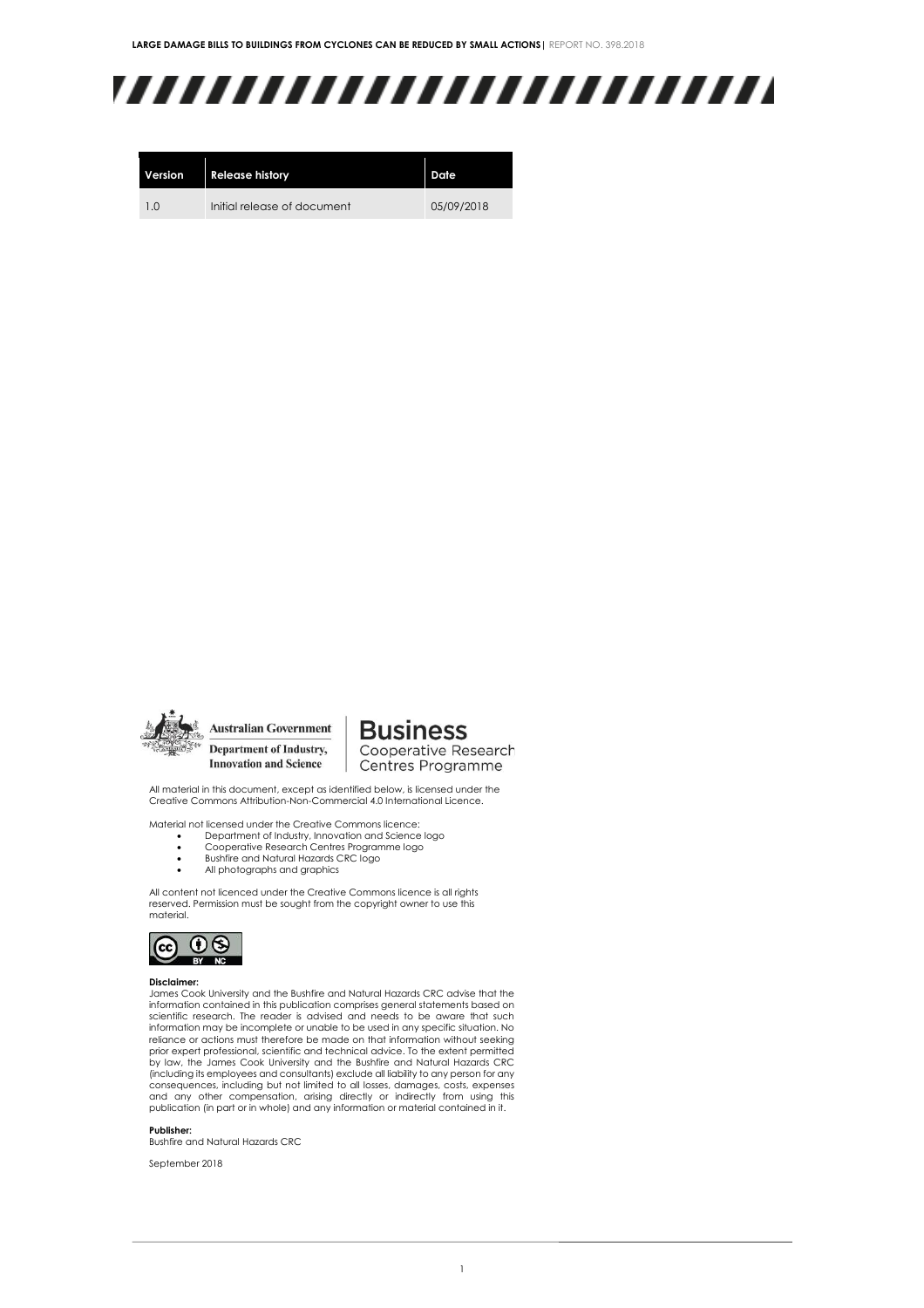# ,,,,,,,,,,,,,,,,,,,,,,,,,

| Version | <b>Release history</b>      | Date       |
|---------|-----------------------------|------------|
| 1.0     | Initial release of document | 05/09/2018 |



**Australian Government** Department of Industry, **Innovation and Science** 

**Business** Cooperative Research

Centres Programme

All material in this document, except as identified below, is licensed under the Creative Commons Attribution-Non-Commercial 4.0 International Licence.

Material not licensed under the Creative Commons licence:

- Department of Industry, Innovation and Science logo Cooperative Research Centres Programme logo
- Bushfire and Natural Hazards CRC logo
- All photographs and graphics

All content not licenced under the Creative Commons licence is all rights reserved. Permission must be sought from the copyright owner to use this material.



#### **Disclaimer:**

James Cook University and the Bushfire and Natural Hazards CRC advise that the information contained in this publication comprises general statements based on scientific research. The reader is advised and needs to be aware that such information may be incomplete or unable to be used in any specific situation. No reliance or actions must therefore be made on that information without seeking prior expert professional, scientific and technical advice. To the extent permitted by law, the James Cook University and the Bushfire and Natural Hazards CRC (including its employees and consultants) exclude all liability to any person for any consequences, including but not limited to all losses, damages, costs, expenses and any other compensation, arising directly or indirectly from using this publication (in part or in whole) and any information or material contained in it.

**Publisher:**

Bushfire and Natural Hazards CRC

September 2018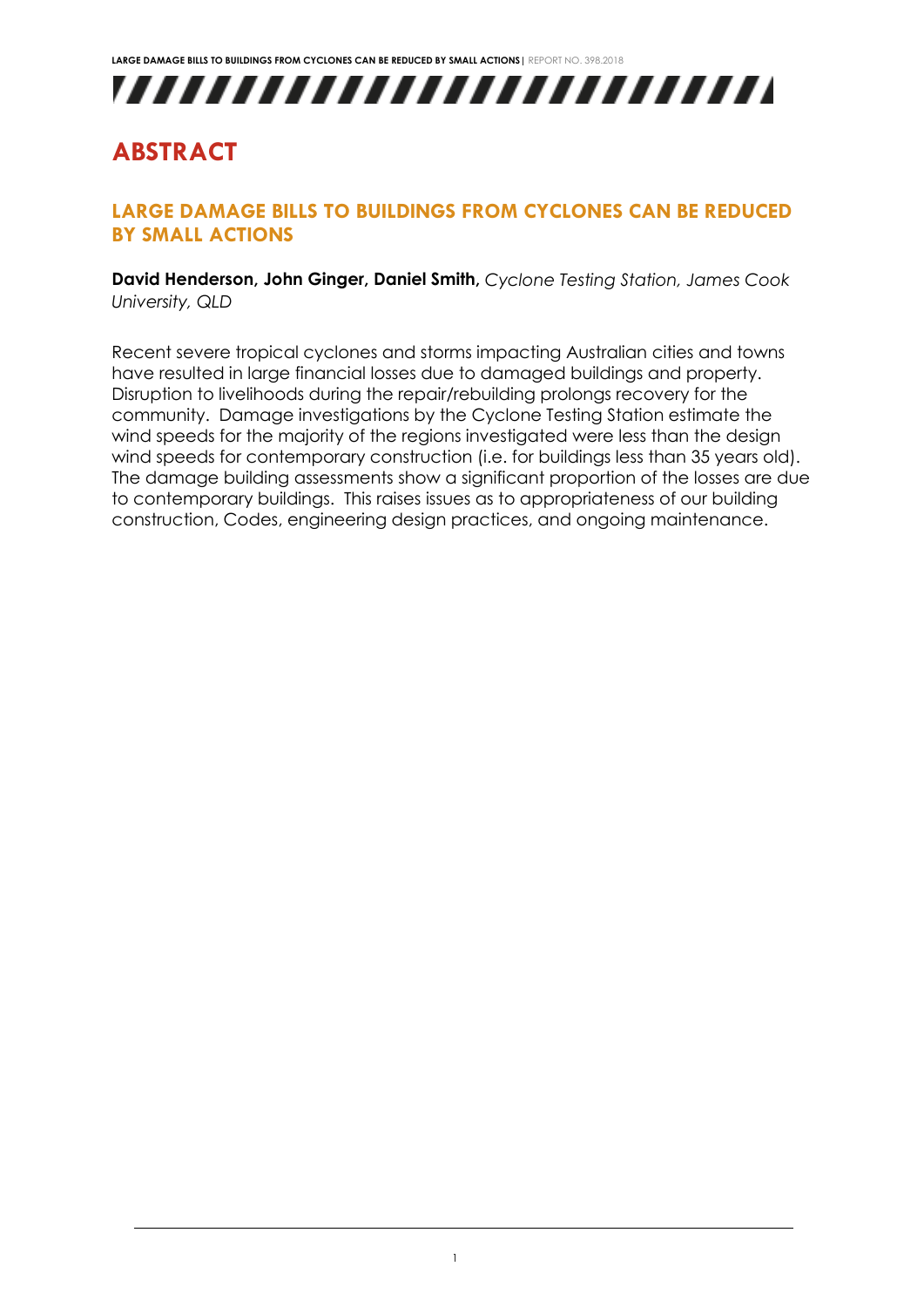

### **ABSTRACT**

### **LARGE DAMAGE BILLS TO BUILDINGS FROM CYCLONES CAN BE REDUCED BY SMALL ACTIONS**

**David Henderson, John Ginger, Daniel Smith,** *Cyclone Testing Station, James Cook University, QLD*

Recent severe tropical cyclones and storms impacting Australian cities and towns have resulted in large financial losses due to damaged buildings and property. Disruption to livelihoods during the repair/rebuilding prolongs recovery for the community. Damage investigations by the Cyclone Testing Station estimate the wind speeds for the majority of the regions investigated were less than the design wind speeds for contemporary construction (i.e. for buildings less than 35 years old). The damage building assessments show a significant proportion of the losses are due to contemporary buildings. This raises issues as to appropriateness of our building construction, Codes, engineering design practices, and ongoing maintenance.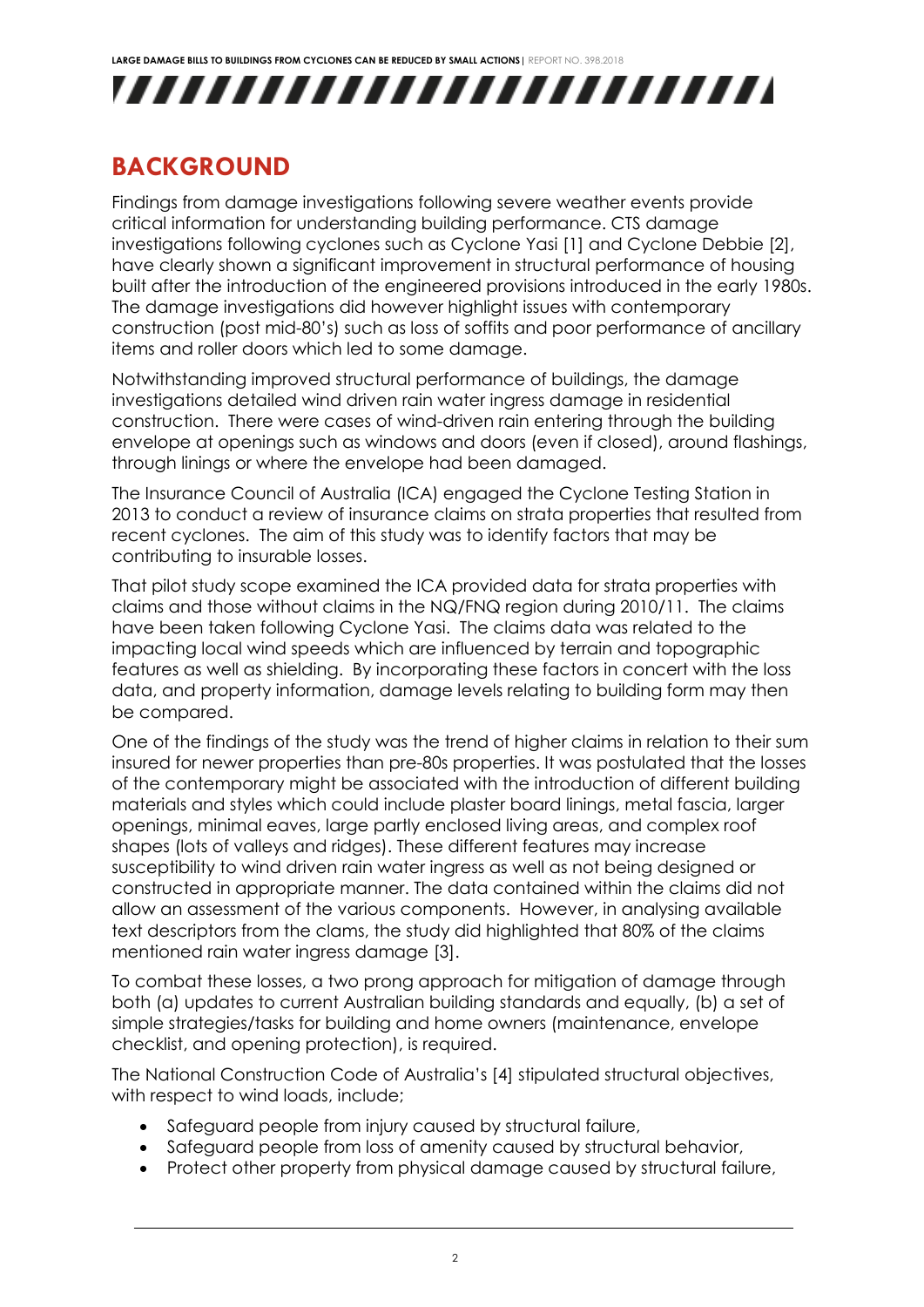**LARGE DAMAGE BILLS TO BUILDINGS FROM CYCLONES CAN BE REDUCED BY SMALL ACTIONS|** REPORT NO. 398.2018



### **BACKGROUND**

Findings from damage investigations following severe weather events provide critical information for understanding building performance. CTS damage investigations following cyclones such as Cyclone Yasi [1] and Cyclone Debbie [2], have clearly shown a significant improvement in structural performance of housing built after the introduction of the engineered provisions introduced in the early 1980s. The damage investigations did however highlight issues with contemporary construction (post mid-80's) such as loss of soffits and poor performance of ancillary items and roller doors which led to some damage.

Notwithstanding improved structural performance of buildings, the damage investigations detailed wind driven rain water ingress damage in residential construction. There were cases of wind-driven rain entering through the building envelope at openings such as windows and doors (even if closed), around flashings, through linings or where the envelope had been damaged.

The Insurance Council of Australia (ICA) engaged the Cyclone Testing Station in 2013 to conduct a review of insurance claims on strata properties that resulted from recent cyclones. The aim of this study was to identify factors that may be contributing to insurable losses.

That pilot study scope examined the ICA provided data for strata properties with claims and those without claims in the NQ/FNQ region during 2010/11. The claims have been taken following Cyclone Yasi. The claims data was related to the impacting local wind speeds which are influenced by terrain and topographic features as well as shielding. By incorporating these factors in concert with the loss data, and property information, damage levels relating to building form may then be compared.

One of the findings of the study was the trend of higher claims in relation to their sum insured for newer properties than pre-80s properties. It was postulated that the losses of the contemporary might be associated with the introduction of different building materials and styles which could include plaster board linings, metal fascia, larger openings, minimal eaves, large partly enclosed living areas, and complex roof shapes (lots of valleys and ridges). These different features may increase susceptibility to wind driven rain water ingress as well as not being designed or constructed in appropriate manner. The data contained within the claims did not allow an assessment of the various components. However, in analysing available text descriptors from the clams, the study did highlighted that 80% of the claims mentioned rain water ingress damage [3].

To combat these losses, a two prong approach for mitigation of damage through both (a) updates to current Australian building standards and equally, (b) a set of simple strategies/tasks for building and home owners (maintenance, envelope checklist, and opening protection), is required.

The National Construction Code of Australia's [4] stipulated structural objectives, with respect to wind loads, include;

- Safeguard people from injury caused by structural failure,
- Safeguard people from loss of amenity caused by structural behavior,
- Protect other property from physical damage caused by structural failure,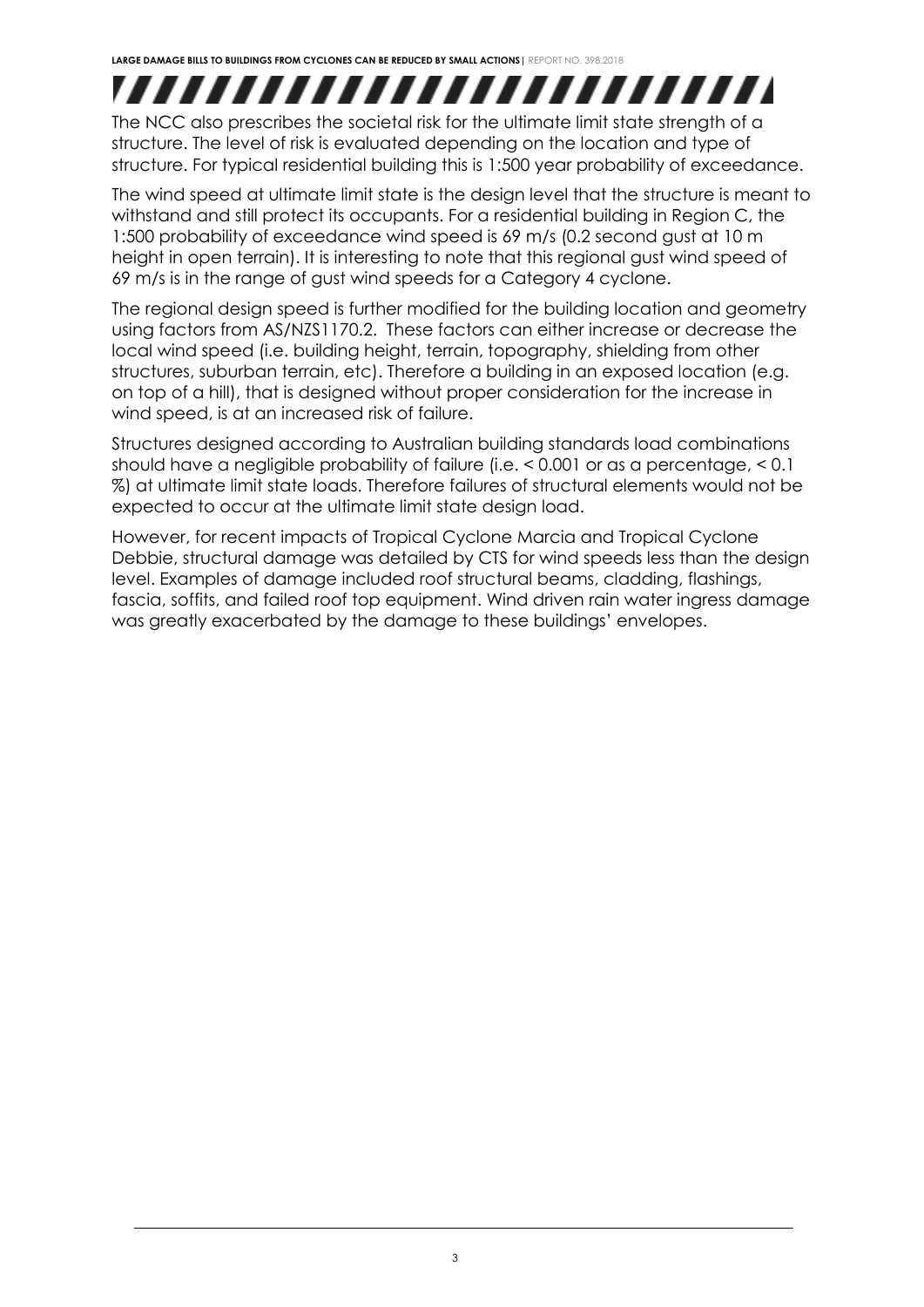## ,,,,,,,,,,,,,,,,,,,,,,,,,

The NCC also prescribes the societal risk for the ultimate limit state strength of a structure. The level of risk is evaluated depending on the location and type of structure. For typical residential building this is 1:500 year probability of exceedance.

The wind speed at ultimate limit state is the design level that the structure is meant to withstand and still protect its occupants. For a residential building in Region C, the 1:500 probability of exceedance wind speed is 69 m/s (0.2 second gust at 10 m height in open terrain). It is interesting to note that this regional gust wind speed of 69 m/s is in the range of gust wind speeds for a Category 4 cyclone.

The regional design speed is further modified for the building location and geometry using factors from AS/NZS1170.2. These factors can either increase or decrease the local wind speed (i.e. building height, terrain, topography, shielding from other structures, suburban terrain, etc). Therefore a building in an exposed location (e.g. on top of a hill), that is designed without proper consideration for the increase in wind speed, is at an increased risk of failure.

Structures designed according to Australian building standards load combinations should have a negligible probability of failure (i.e. < 0.001 or as a percentage, < 0.1 %) at ultimate limit state loads. Therefore failures of structural elements would not be expected to occur at the ultimate limit state design load.

However, for recent impacts of Tropical Cyclone Marcia and Tropical Cyclone Debbie, structural damage was detailed by CTS for wind speeds less than the design level. Examples of damage included roof structural beams, cladding, flashings, fascia, soffits, and failed roof top equipment. Wind driven rain water ingress damage was greatly exacerbated by the damage to these buildings' envelopes.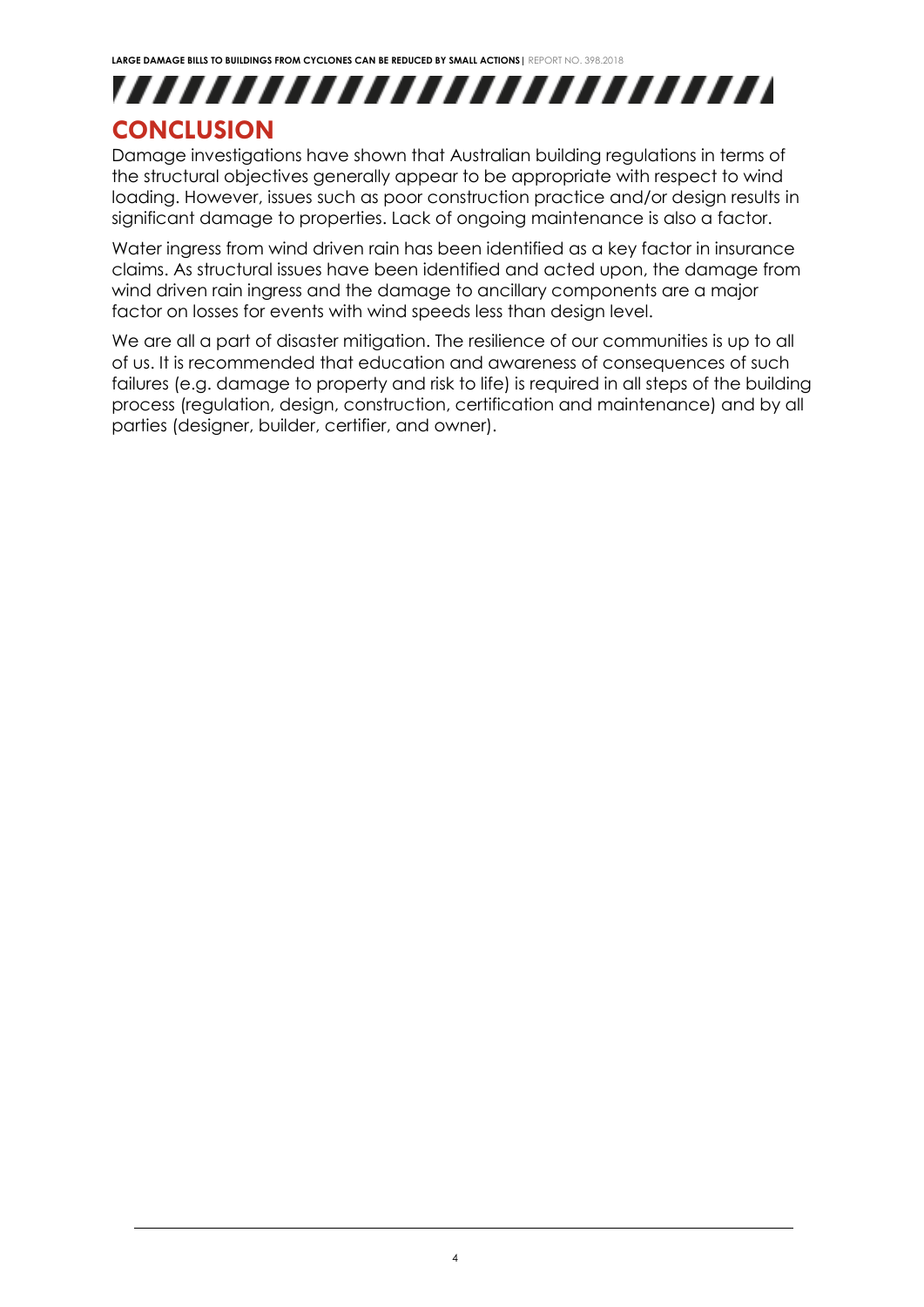## ,,,,,,,,,,,,,,,,,,,,,,,,, **CONCLUSION**

Damage investigations have shown that Australian building regulations in terms of the structural objectives generally appear to be appropriate with respect to wind loading. However, issues such as poor construction practice and/or design results in significant damage to properties. Lack of ongoing maintenance is also a factor.

Water ingress from wind driven rain has been identified as a key factor in insurance claims. As structural issues have been identified and acted upon, the damage from wind driven rain ingress and the damage to ancillary components are a major factor on losses for events with wind speeds less than design level.

We are all a part of disaster mitigation. The resilience of our communities is up to all of us. It is recommended that education and awareness of consequences of such failures (e.g. damage to property and risk to life) is required in all steps of the building process (regulation, design, construction, certification and maintenance) and by all parties (designer, builder, certifier, and owner).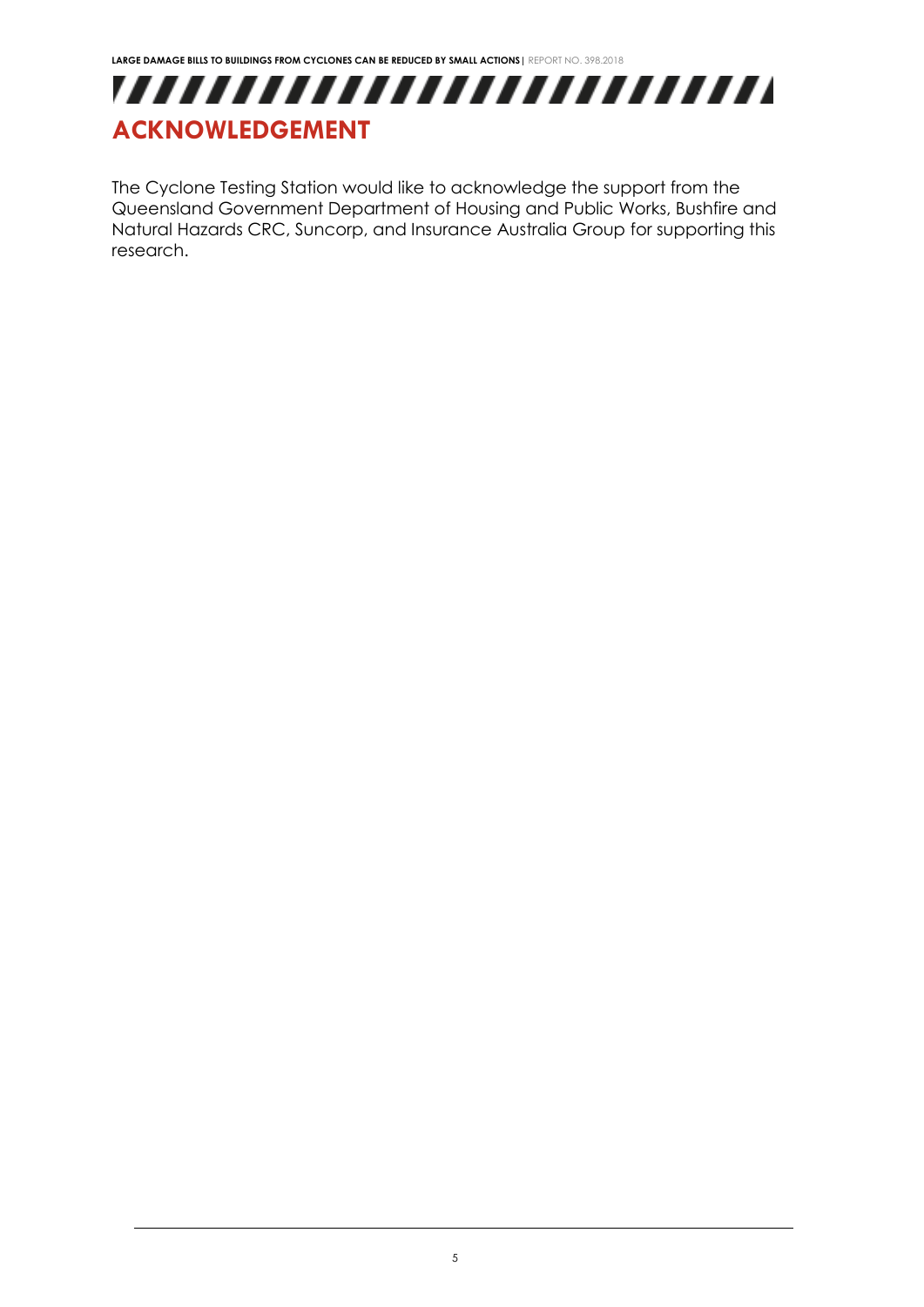

The Cyclone Testing Station would like to acknowledge the support from the Queensland Government Department of Housing and Public Works, Bushfire and Natural Hazards CRC, Suncorp, and Insurance Australia Group for supporting this research.